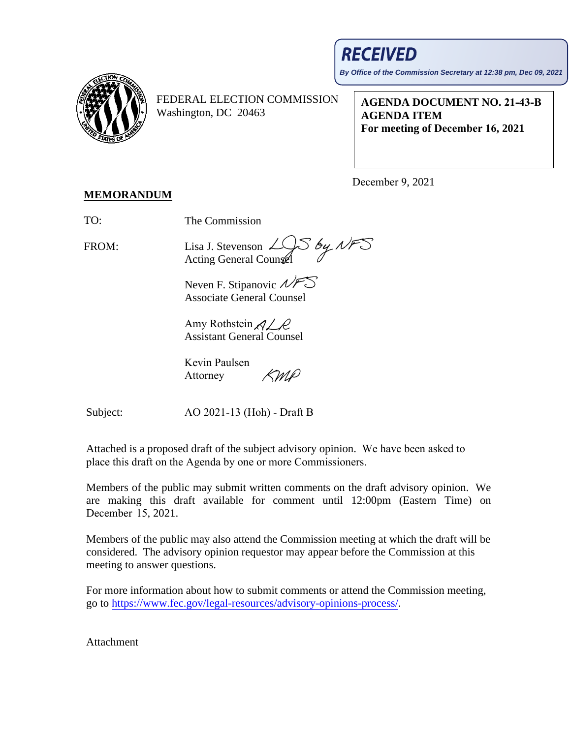## **RECEIVED**

**By Office of the Commission Secretary at 12:38 pm, Dec 09, 2021**



FEDERAL ELECTION COMMISSION Washington, DC 20463

**AGENDA DOCUMENT NO. 21-43-B AGENDA ITEM For meeting of December 16, 2021**

December 9, 2021

## **MEMORANDUM**

TO: The Commission

FROM:

Lisa J. Stevenson Acting General Counsel

Neven F. Stipanovic  $\mathcal{N}$ Associate General Counsel

Amy Rothstein  $\mathcal{A}\mathcal{L}\mathcal{L}$ Assistant General Counsel

Kevin Paulsen (MP Attorney

Subject:

AO 2021-13 (Hoh) - Draft B

Attached is a proposed draft of the subject advisory opinion. We have been asked to place this draft on the Agenda by one or more Commissioners.

Members of the public may submit written comments on the draft advisory opinion. We are making this draft available for comment until 12:00pm (Eastern Time) on December 15, 2021.

Members of the public may also attend the Commission meeting at which the draft will be considered. The advisory opinion requestor may appear before the Commission at this meeting to answer questions.

For more information about how to submit comments or attend the Commission meeting, go to [https://www.fec.gov/legal-resources/advisory-opinions-process/.](https://www.fec.gov/legal-resources/advisory-opinions-process/)

Attachment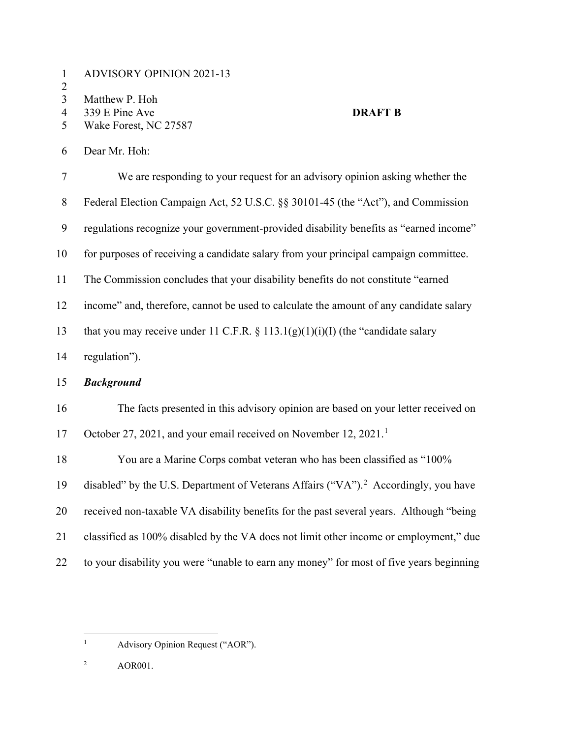|  | <b>ADVISORY OPINION 2021-13</b> |
|--|---------------------------------|
|--|---------------------------------|

 $\frac{2}{3}$ 

3 Matthew P. Hoh<br>4 339 E Pine Ave

- 
- 4 339 E Pine Ave **DRAFT B**<br>5 Wake Forest, NC 27587 Wake Forest, NC 27587

Dear Mr. Hoh:

| $\overline{7}$ | We are responding to your request for an advisory opinion asking whether the                    |
|----------------|-------------------------------------------------------------------------------------------------|
| $8\,$          | Federal Election Campaign Act, 52 U.S.C. §§ 30101-45 (the "Act"), and Commission                |
| 9              | regulations recognize your government-provided disability benefits as "earned income"           |
| 10             | for purposes of receiving a candidate salary from your principal campaign committee.            |
| 11             | The Commission concludes that your disability benefits do not constitute "earned"               |
| 12             | income" and, therefore, cannot be used to calculate the amount of any candidate salary          |
| 13             | that you may receive under 11 C.F.R. § 113.1(g)(1)(i)(I) (the "candidate salary                 |
| 14             | regulation").                                                                                   |
| 15             | <b>Background</b>                                                                               |
| 16             | The facts presented in this advisory opinion are based on your letter received on               |
| 17             | October 27, 2021, and your email received on November 12, 2021. <sup>1</sup>                    |
| 18             | You are a Marine Corps combat veteran who has been classified as "100%                          |
| 19             | disabled" by the U.S. Department of Veterans Affairs ("VA"). <sup>2</sup> Accordingly, you have |
| 20             | received non-taxable VA disability benefits for the past several years. Although "being         |
| 21             | classified as 100% disabled by the VA does not limit other income or employment," due           |
| 22             | to your disability you were "unable to earn any money" for most of five years beginning         |

- <span id="page-1-0"></span><sup>1</sup> Advisory Opinion Request ("AOR").
- <span id="page-1-1"></span>AOR001.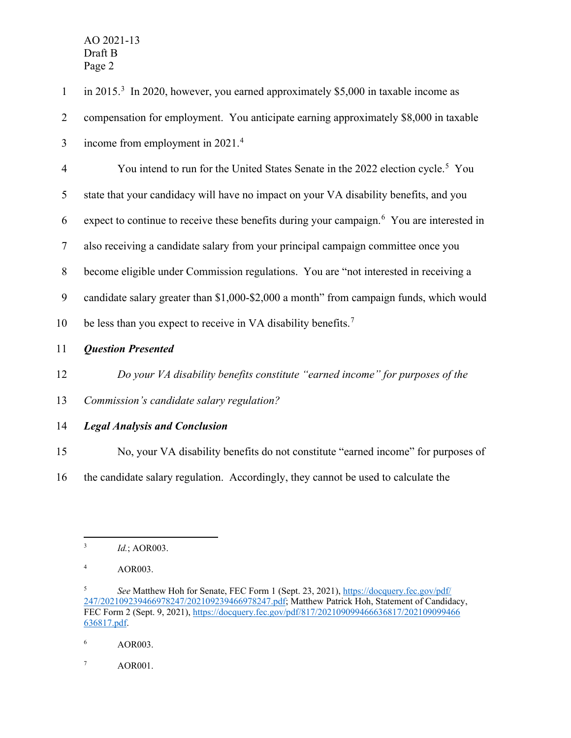| $\mathbf{1}$   | in 2015. <sup>3</sup> In 2020, however, you earned approximately \$5,000 in taxable income as         |
|----------------|-------------------------------------------------------------------------------------------------------|
| $\overline{2}$ | compensation for employment. You anticipate earning approximately \$8,000 in taxable                  |
| 3              | income from employment in 2021. <sup>4</sup>                                                          |
| $\overline{4}$ | You intend to run for the United States Senate in the 2022 election cycle. <sup>5</sup> You           |
| 5              | state that your candidacy will have no impact on your VA disability benefits, and you                 |
| 6              | expect to continue to receive these benefits during your campaign. <sup>6</sup> You are interested in |
| $\overline{7}$ | also receiving a candidate salary from your principal campaign committee once you                     |
| $8\,$          | become eligible under Commission regulations. You are "not interested in receiving a                  |
| 9              | candidate salary greater than \$1,000-\$2,000 a month" from campaign funds, which would               |
| 10             | be less than you expect to receive in VA disability benefits. <sup>7</sup>                            |
| 11             | <b>Question Presented</b>                                                                             |
| 12             | Do your VA disability benefits constitute "earned income" for purposes of the                         |
| 13             | Commission's candidate salary regulation?                                                             |
| 14             | <b>Legal Analysis and Conclusion</b>                                                                  |
| 15             | No, your VA disability benefits do not constitute "earned income" for purposes of                     |
| 16             | the candidate salary regulation. Accordingly, they cannot be used to calculate the                    |
|                |                                                                                                       |

<span id="page-2-0"></span><sup>3</sup> *Id.*; AOR003.

<span id="page-2-1"></span><sup>4</sup> AOR003.

<span id="page-2-2"></span><sup>&</sup>lt;sup>5</sup> *See* Matthew Hoh for Senate, FEC Form 1 (Sept. 23, 2021), [https://docquery.fec.gov/pdf/](https://docquery.fec.gov/pdf/%E2%80%8C247/202109239466978247/202109239466978247.pdf) [247/202109239466978247/202109239466978247.pdf;](https://docquery.fec.gov/pdf/%E2%80%8C247/202109239466978247/202109239466978247.pdf) Matthew Patrick Hoh, Statement of Candidacy, FEC Form 2 (Sept. 9, 2021), [https://docquery.fec.gov/pdf/817/202109099466636817/202109099466](https://docquery.fec.gov/pdf/817/202109099466636817/202109099466636817.pdf) [636817.pdf.](https://docquery.fec.gov/pdf/817/202109099466636817/202109099466636817.pdf)

<span id="page-2-3"></span><sup>6</sup> AOR003.

<span id="page-2-4"></span><sup>7</sup> AOR001.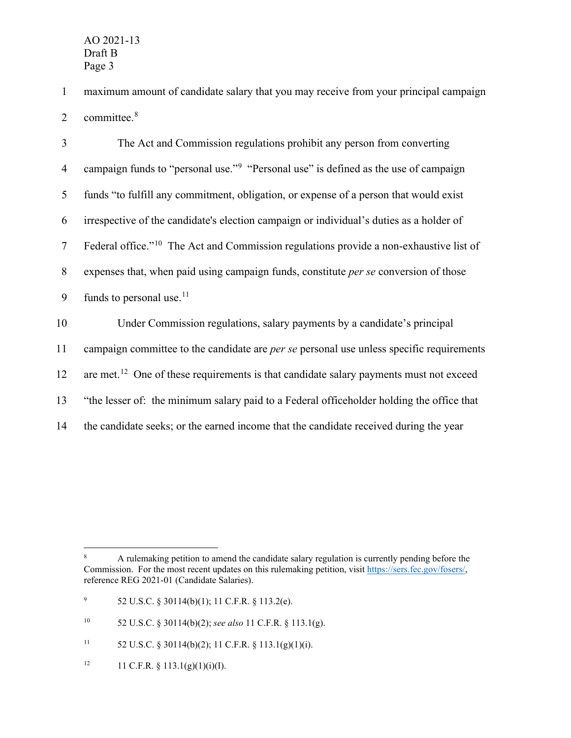1 maximum amount of candidate salary that you may receive from your principal campaign 2 committee.<sup>[8](#page-3-0)</sup>

| $\overline{3}$ | The Act and Commission regulations prohibit any person from converting                             |
|----------------|----------------------------------------------------------------------------------------------------|
| $\overline{4}$ | campaign funds to "personal use." <sup>9</sup> "Personal use" is defined as the use of campaign    |
| 5              | funds "to fulfill any commitment, obligation, or expense of a person that would exist              |
| 6              | irrespective of the candidate's election campaign or individual's duties as a holder of            |
| $\tau$         | Federal office." <sup>10</sup> The Act and Commission regulations provide a non-exhaustive list of |
| 8              | expenses that, when paid using campaign funds, constitute <i>per se</i> conversion of those        |
| 9              | funds to personal use. <sup>11</sup>                                                               |
| 10             | Under Commission regulations, salary payments by a candidate's principal                           |
| 11             | campaign committee to the candidate are <i>per se</i> personal use unless specific requirements    |
| 12             | are met. <sup>12</sup> One of these requirements is that candidate salary payments must not exceed |
| 13             | "the lesser of: the minimum salary paid to a Federal officeholder holding the office that          |
| 14             | the candidate seeks; or the earned income that the candidate received during the year              |

<span id="page-3-4"></span><sup>12</sup> 11 C.F.R. § 113.1(g)(1)(i)(I).

<span id="page-3-0"></span><sup>&</sup>lt;sup>8</sup> A rulemaking petition to amend the candidate salary regulation is currently pending before the Commission. For the most recent updates on this rulemaking petition, visit [https://sers.fec.gov/fosers/,](https://sers.fec.gov/fosers/) reference REG 2021-01 (Candidate Salaries).

<span id="page-3-1"></span><sup>9</sup> 52 U.S.C. § 30114(b)(1); 11 C.F.R. § 113.2(e).

<span id="page-3-2"></span><sup>10</sup> 52 U.S.C. § 30114(b)(2); *see also* 11 C.F.R. § 113.1(g).

<span id="page-3-3"></span><sup>11 52</sup> U.S.C. § 30114(b)(2); 11 C.F.R. § 113.1(g)(1)(i).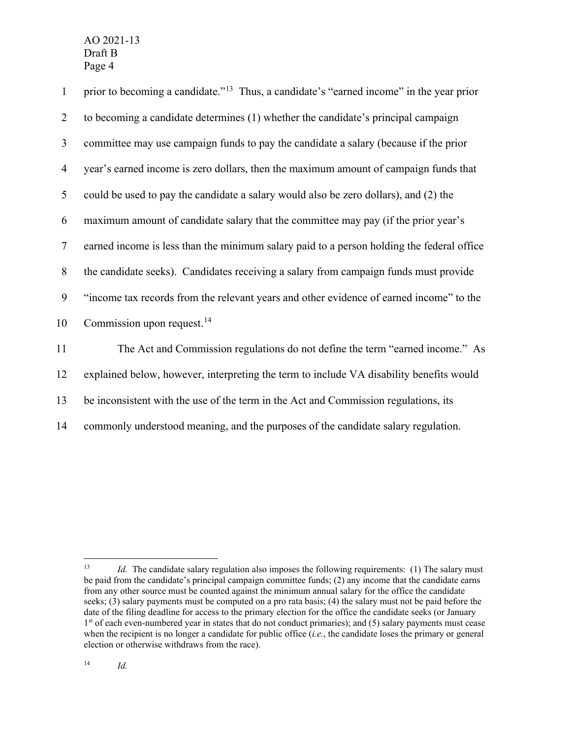1 prior to becoming a candidate."<sup>[13](#page-4-0)</sup> Thus, a candidate's "earned income" in the year prior to becoming a candidate determines (1) whether the candidate's principal campaign committee may use campaign funds to pay the candidate a salary (because if the prior year's earned income is zero dollars, then the maximum amount of campaign funds that could be used to pay the candidate a salary would also be zero dollars), and (2) the maximum amount of candidate salary that the committee may pay (if the prior year's earned income is less than the minimum salary paid to a person holding the federal office the candidate seeks). Candidates receiving a salary from campaign funds must provide "income tax records from the relevant years and other evidence of earned income" to the 10 Commission upon request.<sup>[14](#page-4-1)</sup> The Act and Commission regulations do not define the term "earned income." As explained below, however, interpreting the term to include VA disability benefits would

13 be inconsistent with the use of the term in the Act and Commission regulations, its

14 commonly understood meaning, and the purposes of the candidate salary regulation.

<span id="page-4-1"></span><span id="page-4-0"></span><sup>&</sup>lt;sup>13</sup> *Id.* The candidate salary regulation also imposes the following requirements: (1) The salary must be paid from the candidate's principal campaign committee funds; (2) any income that the candidate earns from any other source must be counted against the minimum annual salary for the office the candidate seeks; (3) salary payments must be computed on a pro rata basis; (4) the salary must not be paid before the date of the filing deadline for access to the primary election for the office the candidate seeks (or January  $1<sup>st</sup>$  of each even-numbered year in states that do not conduct primaries); and (5) salary payments must cease when the recipient is no longer a candidate for public office (*i.e.*, the candidate loses the primary or general election or otherwise withdraws from the race).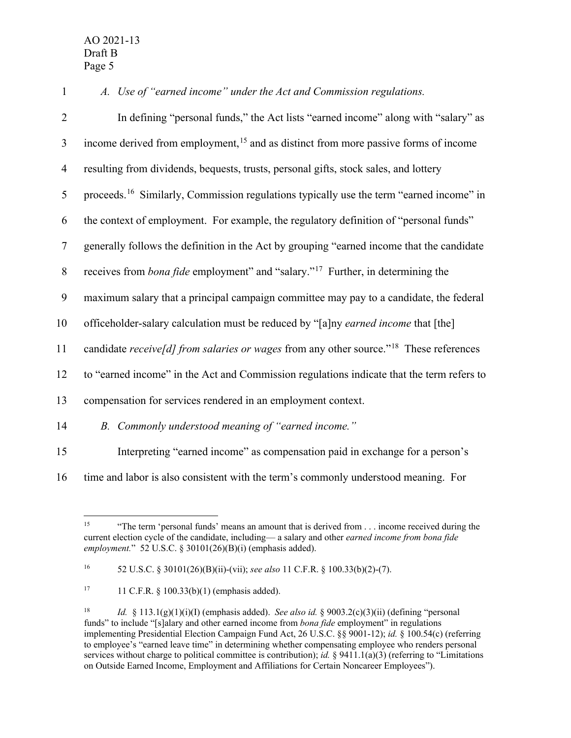*A. Use of "earned income" under the Act and Commission regulations.* In defining "personal funds," the Act lists "earned income" along with "salary" as 3 income derived from employment,<sup>[15](#page-5-0)</sup> and as distinct from more passive forms of income resulting from dividends, bequests, trusts, personal gifts, stock sales, and lottery 5 proceeds.<sup>[16](#page-5-1)</sup> Similarly, Commission regulations typically use the term "earned income" in the context of employment. For example, the regulatory definition of "personal funds" generally follows the definition in the Act by grouping "earned income that the candidate receives from *bona fide* employment" and "salary."[17](#page-5-2) 8 Further, in determining the maximum salary that a principal campaign committee may pay to a candidate, the federal officeholder-salary calculation must be reduced by "[a]ny *earned income* that [the] 11 candidate *receive[d]* from salaries or wages from any other source."<sup>[18](#page-5-3)</sup> These references to "earned income" in the Act and Commission regulations indicate that the term refers to compensation for services rendered in an employment context. *B. Commonly understood meaning of "earned income."* Interpreting "earned income" as compensation paid in exchange for a person's

<span id="page-5-0"></span>16 time and labor is also consistent with the term's commonly understood meaning. For

<sup>&</sup>lt;sup>15</sup> "The term 'personal funds' means an amount that is derived from . . . income received during the current election cycle of the candidate, including— a salary and other *earned income from bona fide employment.*" 52 U.S.C. § 30101(26)(B)(i) (emphasis added).

<span id="page-5-1"></span><sup>16</sup> 52 U.S.C. § 30101(26)(B)(ii)-(vii); *see also* 11 C.F.R. § 100.33(b)(2)-(7).

<span id="page-5-2"></span><sup>&</sup>lt;sup>17</sup> 11 C.F.R. § 100.33(b)(1) (emphasis added).

<span id="page-5-3"></span><sup>18</sup> *Id.* § 113.1(g)(1)(i)(I) (emphasis added). *See also id.* § 9003.2(c)(3)(ii) (defining "personal funds" to include "[s]alary and other earned income from *bona fide* employment" in regulations implementing Presidential Election Campaign Fund Act, 26 U.S.C. §§ 9001-12); *id.* § 100.54(c) (referring to employee's "earned leave time" in determining whether compensating employee who renders personal services without charge to political committee is contribution); *id.* § 9411.1(a)(3) (referring to "Limitations" on Outside Earned Income, Employment and Affiliations for Certain Noncareer Employees").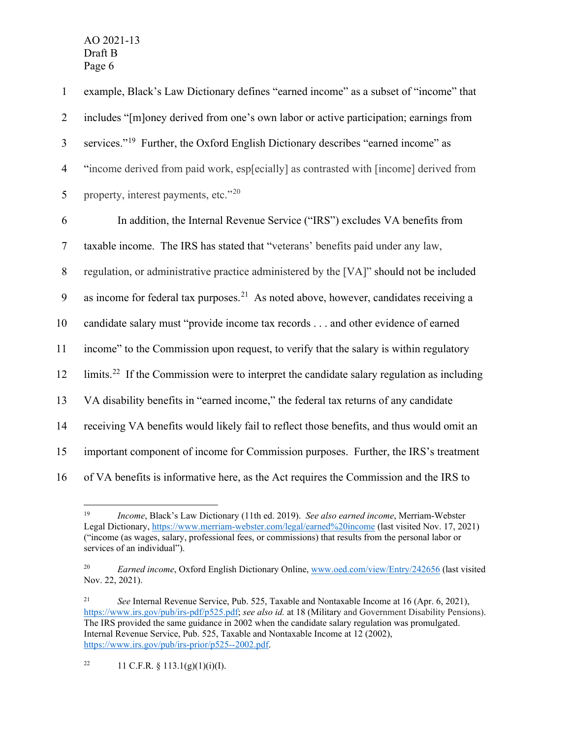| $\mathbf{1}$   | example, Black's Law Dictionary defines "earned income" as a subset of "income" that                   |
|----------------|--------------------------------------------------------------------------------------------------------|
| $\overline{2}$ | includes "[m]oney derived from one's own labor or active participation; earnings from                  |
| 3              | services." <sup>19</sup> Further, the Oxford English Dictionary describes "earned income" as           |
| $\overline{4}$ | "income derived from paid work, esp[ecially] as contrasted with [income] derived from                  |
| 5              | property, interest payments, etc."20                                                                   |
| 6              | In addition, the Internal Revenue Service ("IRS") excludes VA benefits from                            |
| $\tau$         | taxable income. The IRS has stated that "veterans' benefits paid under any law,                        |
| 8              | regulation, or administrative practice administered by the [VA]" should not be included                |
| 9              | as income for federal tax purposes. <sup>21</sup> As noted above, however, candidates receiving a      |
| 10             | candidate salary must "provide income tax records and other evidence of earned                         |
| 11             | income" to the Commission upon request, to verify that the salary is within regulatory                 |
| 12             | limits. <sup>22</sup> If the Commission were to interpret the candidate salary regulation as including |
| 13             | VA disability benefits in "earned income," the federal tax returns of any candidate                    |
| 14             | receiving VA benefits would likely fail to reflect those benefits, and thus would omit an              |
| 15             | important component of income for Commission purposes. Further, the IRS's treatment                    |
| 16             | of VA benefits is informative here, as the Act requires the Commission and the IRS to                  |

<span id="page-6-0"></span><sup>19</sup> *Income*, Black's Law Dictionary (11th ed. 2019). *See also earned income*, Merriam-Webster Legal Dictionary,<https://www.merriam-webster.com/legal/earned%20income> (last visited Nov. 17, 2021) ("income (as wages, salary, professional fees, or commissions) that results from the personal labor or services of an individual").

<span id="page-6-1"></span><sup>20</sup> *Earned income*, Oxford English Dictionary Online[, www.oed.com/view/Entry/242656](http://www.oed.com/view/Entry/242656) (last visited Nov. 22, 2021).

<span id="page-6-3"></span><span id="page-6-2"></span><sup>21</sup> *See* Internal Revenue Service, Pub. 525, Taxable and Nontaxable Income at 16 (Apr. 6, 2021), [https://www.irs.gov/pub/irs-pdf/p525.pdf;](https://www.irs.gov/pub/irs-pdf/p525.pdf) *see also id.* at 18 (Military and Government Disability Pensions). The IRS provided the same guidance in 2002 when the candidate salary regulation was promulgated. Internal Revenue Service, Pub. 525, Taxable and Nontaxable Income at 12 (2002), [https://www.irs.gov/pub/irs-prior/p525--2002.pdf.](https://www.irs.gov/pub/irs-prior/p525--2002.pdf)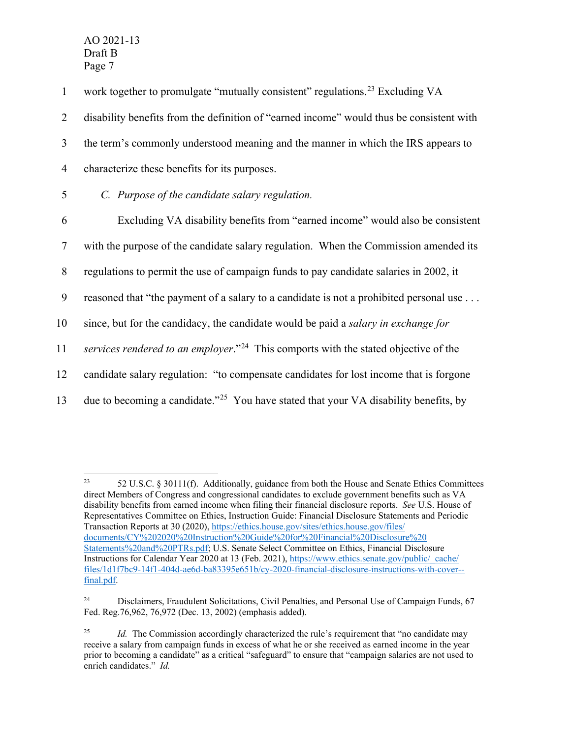1 work together to promulgate "mutually consistent" regulations.<sup>[23](#page-7-0)</sup> Excluding VA

2 disability benefits from the definition of "earned income" would thus be consistent with

3 the term's commonly understood meaning and the manner in which the IRS appears to

- 4 characterize these benefits for its purposes.
- 5 *C. Purpose of the candidate salary regulation.*

6 Excluding VA disability benefits from "earned income" would also be consistent

7 with the purpose of the candidate salary regulation. When the Commission amended its

8 regulations to permit the use of campaign funds to pay candidate salaries in 2002, it

9 reasoned that "the payment of a salary to a candidate is not a prohibited personal use . . .

10 since, but for the candidacy, the candidate would be paid a *salary in exchange for* 

11 *services rendered to an employer*."<sup>[24](#page-7-1)</sup> This comports with the stated objective of the

12 candidate salary regulation: "to compensate candidates for lost income that is forgone

13 due to becoming a candidate."<sup>[25](#page-7-2)</sup> You have stated that your VA disability benefits, by

<span id="page-7-0"></span><sup>&</sup>lt;sup>23</sup> 52 U.S.C. § 30111(f). Additionally, guidance from both the House and Senate Ethics Committees direct Members of Congress and congressional candidates to exclude government benefits such as VA disability benefits from earned income when filing their financial disclosure reports. *See* U.S. House of Representatives Committee on Ethics, Instruction Guide: Financial Disclosure Statements and Periodic Transaction Reports at 30 (2020), [https://ethics.house.gov/sites/ethics.house.gov/files/](https://ethics.house.gov/sites/ethics.house.gov/files/%E2%80%8Cdocuments/CY%202020%20Instruction%20Guide%20for%20Financial%20Disclosure%20%E2%80%8CStatements%20and%20PTRs.pdf) [documents/CY%202020%20Instruction%20Guide%20for%20Financial%20Disclosure%20](https://ethics.house.gov/sites/ethics.house.gov/files/%E2%80%8Cdocuments/CY%202020%20Instruction%20Guide%20for%20Financial%20Disclosure%20%E2%80%8CStatements%20and%20PTRs.pdf) [Statements%20and%20PTRs.pdf;](https://ethics.house.gov/sites/ethics.house.gov/files/%E2%80%8Cdocuments/CY%202020%20Instruction%20Guide%20for%20Financial%20Disclosure%20%E2%80%8CStatements%20and%20PTRs.pdf) U.S. Senate Select Committee on Ethics, Financial Disclosure Instructions for Calendar Year 2020 at 13 (Feb. 2021), [https://www.ethics.senate.gov/public/\\_cache/](https://www.ethics.senate.gov/public/_cache/files/1d1f7bc9-14f1-404d-ae6d-ba83395e651b/cy-2020-financial-disclosure-instructions-with-cover--final.pdf) [files/1d1f7bc9-14f1-404d-ae6d-ba83395e651b/cy-2020-financial-disclosure-instructions-with-cover-](https://www.ethics.senate.gov/public/_cache/files/1d1f7bc9-14f1-404d-ae6d-ba83395e651b/cy-2020-financial-disclosure-instructions-with-cover--final.pdf) [final.pdf.](https://www.ethics.senate.gov/public/_cache/files/1d1f7bc9-14f1-404d-ae6d-ba83395e651b/cy-2020-financial-disclosure-instructions-with-cover--final.pdf)

<span id="page-7-1"></span><sup>&</sup>lt;sup>24</sup> Disclaimers, Fraudulent Solicitations, Civil Penalties, and Personal Use of Campaign Funds, 67 Fed. Reg.76,962, 76,972 (Dec. 13, 2002) (emphasis added).

<span id="page-7-2"></span><sup>&</sup>lt;sup>25</sup> *Id.* The Commission accordingly characterized the rule's requirement that "no candidate may receive a salary from campaign funds in excess of what he or she received as earned income in the year prior to becoming a candidate" as a critical "safeguard" to ensure that "campaign salaries are not used to enrich candidates." *Id.*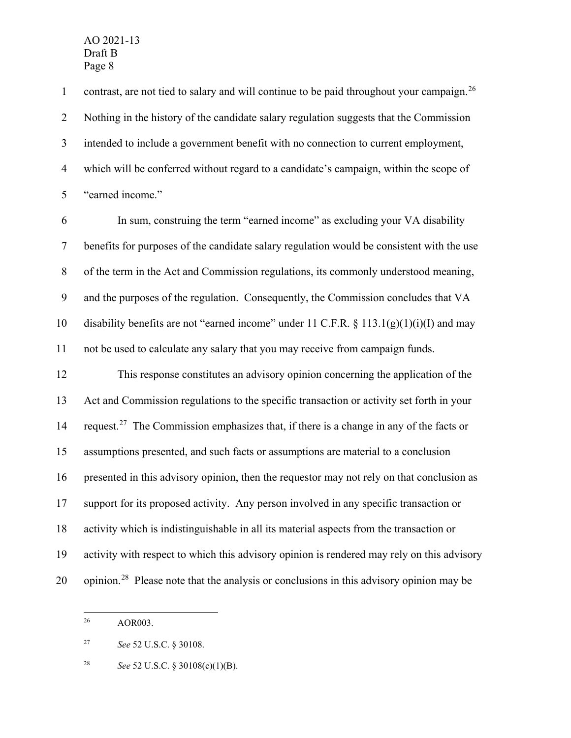1 contrast, are not tied to salary and will continue to be paid throughout your campaign.<sup>[26](#page-8-0)</sup> Nothing in the history of the candidate salary regulation suggests that the Commission intended to include a government benefit with no connection to current employment, which will be conferred without regard to a candidate's campaign, within the scope of "earned income."

 In sum, construing the term "earned income" as excluding your VA disability benefits for purposes of the candidate salary regulation would be consistent with the use of the term in the Act and Commission regulations, its commonly understood meaning, and the purposes of the regulation. Consequently, the Commission concludes that VA 10 disability benefits are not "earned income" under 11 C.F.R.  $\S$  113.1(g)(1)(i)(I) and may not be used to calculate any salary that you may receive from campaign funds.

 This response constitutes an advisory opinion concerning the application of the Act and Commission regulations to the specific transaction or activity set forth in your 14 request.<sup>[27](#page-8-1)</sup> The Commission emphasizes that, if there is a change in any of the facts or assumptions presented, and such facts or assumptions are material to a conclusion presented in this advisory opinion, then the requestor may not rely on that conclusion as support for its proposed activity. Any person involved in any specific transaction or activity which is indistinguishable in all its material aspects from the transaction or activity with respect to which this advisory opinion is rendered may rely on this advisory 20 opinion.<sup>[28](#page-8-2)</sup> Please note that the analysis or conclusions in this advisory opinion may be

<span id="page-8-0"></span>AOR003.

<span id="page-8-1"></span>*See* 52 U.S.C. § 30108.

<span id="page-8-2"></span>*See* 52 U.S.C. § 30108(c)(1)(B).